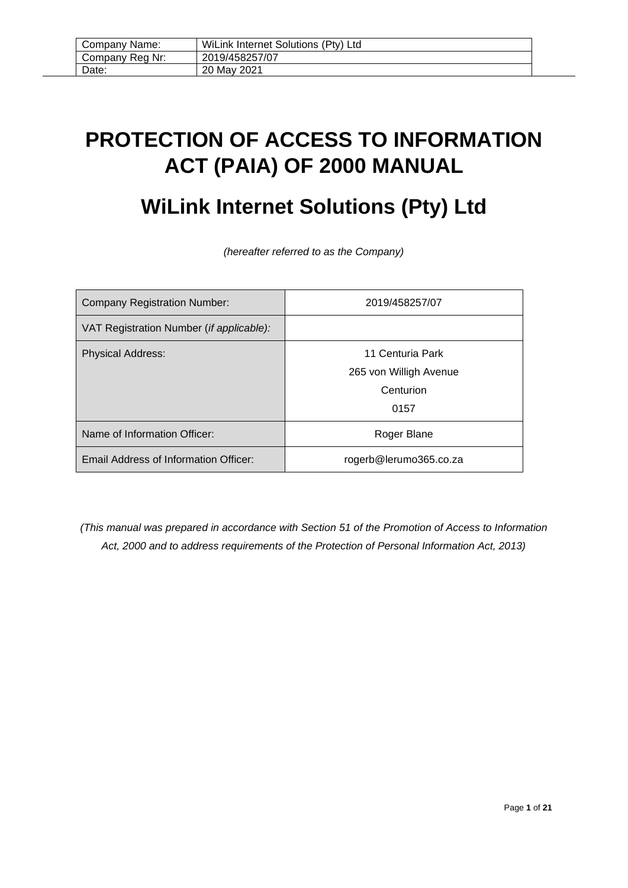| Company Name:   | WiLink Internet Solutions (Pty) Ltd |
|-----------------|-------------------------------------|
| Company Reg Nr: | 2019/458257/07                      |
| Date:           | 20 May 2021                         |

# <span id="page-0-0"></span>**PROTECTION OF ACCESS TO INFORMATION ACT (PAIA) OF 2000 MANUAL**

# **WiLink Internet Solutions (Pty) Ltd**

*(hereafter referred to as the Company)*

| <b>Company Registration Number:</b>      | 2019/458257/07         |
|------------------------------------------|------------------------|
| VAT Registration Number (if applicable): |                        |
| <b>Physical Address:</b>                 | 11 Centuria Park       |
|                                          | 265 von Willigh Avenue |
|                                          | Centurion              |
|                                          | 0157                   |
| Name of Information Officer:             | Roger Blane            |
| Email Address of Information Officer:    | rogerb@lerumo365.co.za |

*(This manual was prepared in accordance with Section 51 of the Promotion of Access to Information Act, 2000 and to address requirements of the Protection of Personal Information Act, 2013)*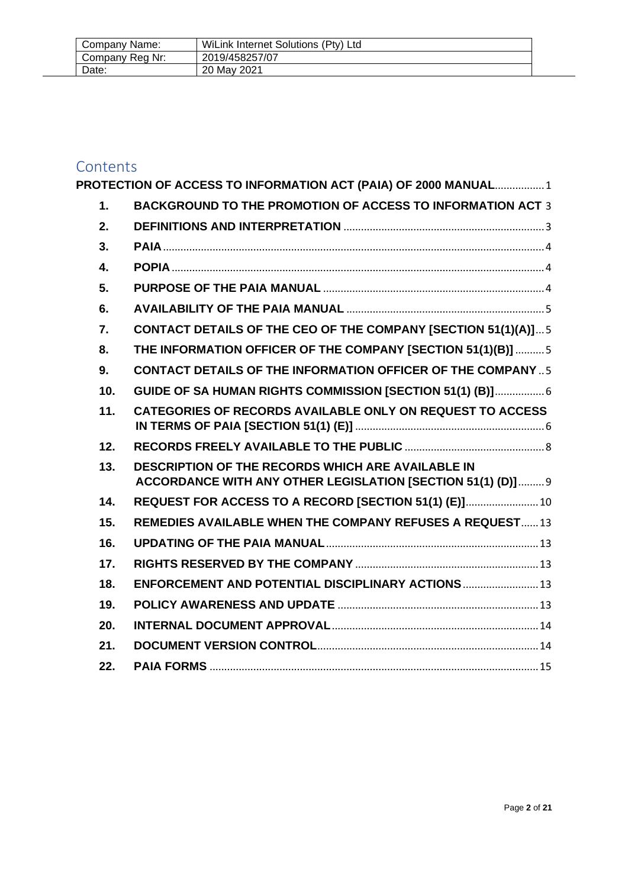| Company Name:   | WiLink Internet Solutions (Pty) Ltd |
|-----------------|-------------------------------------|
| Company Reg Nr: | 2019/458257/07                      |
| Date:           | 20 May 2021                         |

# Contents<br>**PROTECTIC**

|                  | PROTECTION OF ACCESS TO INFORMATION ACT (PAIA) OF 2000 MANUAL 1                                                  |  |
|------------------|------------------------------------------------------------------------------------------------------------------|--|
| 1.               | <b>BACKGROUND TO THE PROMOTION OF ACCESS TO INFORMATION ACT 3</b>                                                |  |
| 2.               |                                                                                                                  |  |
| 3.               |                                                                                                                  |  |
| $\overline{4}$ . |                                                                                                                  |  |
| 5.               |                                                                                                                  |  |
| 6.               |                                                                                                                  |  |
| $\overline{7}$ . | <b>CONTACT DETAILS OF THE CEO OF THE COMPANY [SECTION 51(1)(A)] 5</b>                                            |  |
| 8.               | THE INFORMATION OFFICER OF THE COMPANY [SECTION 51(1)(B)]  5                                                     |  |
| 9.               | <b>CONTACT DETAILS OF THE INFORMATION OFFICER OF THE COMPANY  5</b>                                              |  |
| 10.              | GUIDE OF SA HUMAN RIGHTS COMMISSION [SECTION 51(1) (B)] 6                                                        |  |
| 11.              | <b>CATEGORIES OF RECORDS AVAILABLE ONLY ON REQUEST TO ACCESS</b>                                                 |  |
| 12.              |                                                                                                                  |  |
| 13.              | DESCRIPTION OF THE RECORDS WHICH ARE AVAILABLE IN<br>ACCORDANCE WITH ANY OTHER LEGISLATION [SECTION 51(1) (D)] 9 |  |
| 14.              | REQUEST FOR ACCESS TO A RECORD [SECTION 51(1) (E)] 10                                                            |  |
| 15.              | <b>REMEDIES AVAILABLE WHEN THE COMPANY REFUSES A REQUEST13</b>                                                   |  |
| 16.              |                                                                                                                  |  |
| 17.              |                                                                                                                  |  |
| 18.              | ENFORCEMENT AND POTENTIAL DISCIPLINARY ACTIONS  13                                                               |  |
| 19.              |                                                                                                                  |  |
| 20.              |                                                                                                                  |  |
| 21.              |                                                                                                                  |  |
| 22.              |                                                                                                                  |  |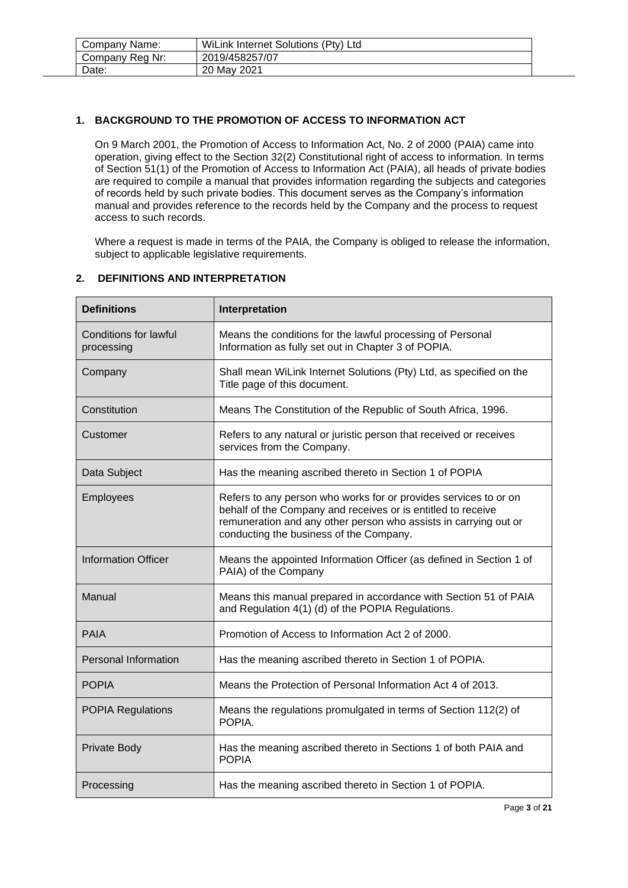| Company Name:   | WiLink Internet Solutions (Pty) Ltd |
|-----------------|-------------------------------------|
| Company Reg Nr: | 2019/458257/07                      |
| Date:           | 20 May 2021                         |

# <span id="page-2-0"></span>**1. BACKGROUND TO THE PROMOTION OF ACCESS TO INFORMATION ACT**

On 9 March 2001, the Promotion of Access to Information Act, No. 2 of 2000 (PAIA) came into operation, giving effect to the Section 32(2) Constitutional right of access to information. In terms of Section 51(1) of the Promotion of Access to Information Act (PAIA), all heads of private bodies are required to compile a manual that provides information regarding the subjects and categories of records held by such private bodies. This document serves as the Company's information manual and provides reference to the records held by the Company and the process to request access to such records.

Where a request is made in terms of the PAIA, the Company is obliged to release the information, subject to applicable legislative requirements.

#### <span id="page-2-1"></span>**2. DEFINITIONS AND INTERPRETATION**

| <b>Definitions</b>                         | Interpretation                                                                                                                                                                                                                                  |
|--------------------------------------------|-------------------------------------------------------------------------------------------------------------------------------------------------------------------------------------------------------------------------------------------------|
| <b>Conditions for lawful</b><br>processing | Means the conditions for the lawful processing of Personal<br>Information as fully set out in Chapter 3 of POPIA.                                                                                                                               |
| Company                                    | Shall mean WiLink Internet Solutions (Pty) Ltd, as specified on the<br>Title page of this document.                                                                                                                                             |
| Constitution                               | Means The Constitution of the Republic of South Africa, 1996.                                                                                                                                                                                   |
| Customer                                   | Refers to any natural or juristic person that received or receives<br>services from the Company.                                                                                                                                                |
| Data Subject                               | Has the meaning ascribed thereto in Section 1 of POPIA                                                                                                                                                                                          |
| Employees                                  | Refers to any person who works for or provides services to or on<br>behalf of the Company and receives or is entitled to receive<br>remuneration and any other person who assists in carrying out or<br>conducting the business of the Company. |
| <b>Information Officer</b>                 | Means the appointed Information Officer (as defined in Section 1 of<br>PAIA) of the Company                                                                                                                                                     |
| Manual                                     | Means this manual prepared in accordance with Section 51 of PAIA<br>and Regulation 4(1) (d) of the POPIA Regulations.                                                                                                                           |
| <b>PAIA</b>                                | Promotion of Access to Information Act 2 of 2000.                                                                                                                                                                                               |
| <b>Personal Information</b>                | Has the meaning ascribed thereto in Section 1 of POPIA.                                                                                                                                                                                         |
| <b>POPIA</b>                               | Means the Protection of Personal Information Act 4 of 2013.                                                                                                                                                                                     |
| <b>POPIA Regulations</b>                   | Means the regulations promulgated in terms of Section 112(2) of<br>POPIA.                                                                                                                                                                       |
| Private Body                               | Has the meaning ascribed thereto in Sections 1 of both PAIA and<br><b>POPIA</b>                                                                                                                                                                 |
| Processing                                 | Has the meaning ascribed thereto in Section 1 of POPIA.                                                                                                                                                                                         |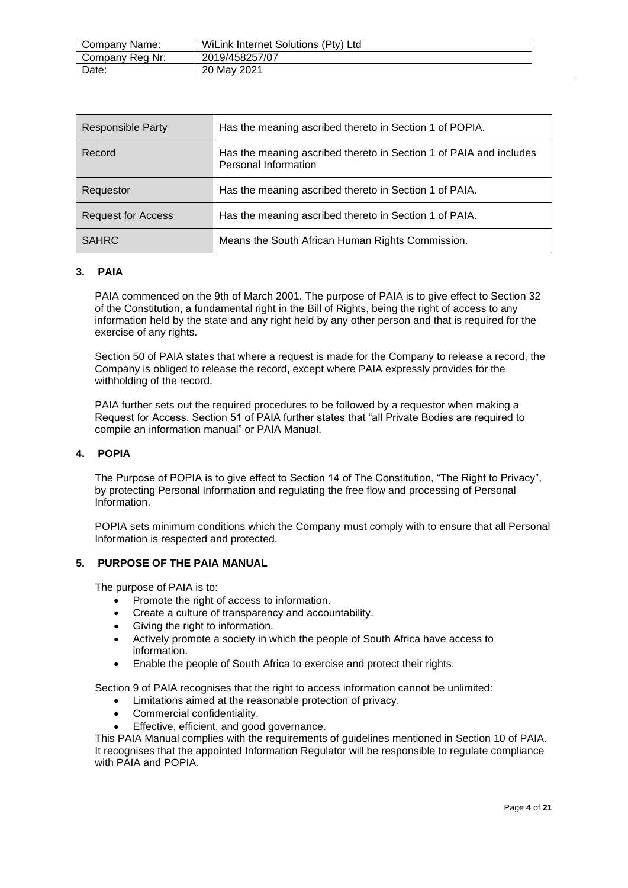| Company Name:   | WiLink Internet Solutions (Pty) Ltd |
|-----------------|-------------------------------------|
| Company Reg Nr: | 2019/458257/07                      |
| Date:           | 20 May 2021                         |

| <b>Responsible Party</b>  | Has the meaning ascribed thereto in Section 1 of POPIA.                                           |
|---------------------------|---------------------------------------------------------------------------------------------------|
| Record                    | Has the meaning ascribed thereto in Section 1 of PAIA and includes<br><b>Personal Information</b> |
| Requestor                 | Has the meaning ascribed thereto in Section 1 of PAIA.                                            |
| <b>Request for Access</b> | Has the meaning ascribed thereto in Section 1 of PAIA.                                            |
| <b>SAHRC</b>              | Means the South African Human Rights Commission.                                                  |

# <span id="page-3-0"></span>**3. PAIA**

PAIA commenced on the 9th of March 2001. The purpose of PAIA is to give effect to Section 32 of the Constitution, a fundamental right in the Bill of Rights, being the right of access to any information held by the state and any right held by any other person and that is required for the exercise of any rights.

Section 50 of PAIA states that where a request is made for the Company to release a record, the Company is obliged to release the record, except where PAIA expressly provides for the withholding of the record.

PAIA further sets out the required procedures to be followed by a requestor when making a Request for Access. Section 51 of PAIA further states that "all Private Bodies are required to compile an information manual" or PAIA Manual.

## <span id="page-3-1"></span>**4. POPIA**

The Purpose of POPIA is to give effect to Section 14 of The Constitution, "The Right to Privacy", by protecting Personal Information and regulating the free flow and processing of Personal Information.

POPIA sets minimum conditions which the Company must comply with to ensure that all Personal Information is respected and protected.

#### <span id="page-3-2"></span>**5. PURPOSE OF THE PAIA MANUAL**

The purpose of PAIA is to:

- Promote the right of access to information.
- Create a culture of transparency and accountability.
- Giving the right to information.
- Actively promote a society in which the people of South Africa have access to information.
- Enable the people of South Africa to exercise and protect their rights.

Section 9 of PAIA recognises that the right to access information cannot be unlimited:

- Limitations aimed at the reasonable protection of privacy.
- Commercial confidentiality.
- Effective, efficient, and good governance.

This PAIA Manual complies with the requirements of guidelines mentioned in Section 10 of PAIA. It recognises that the appointed Information Regulator will be responsible to regulate compliance with PAIA and POPIA.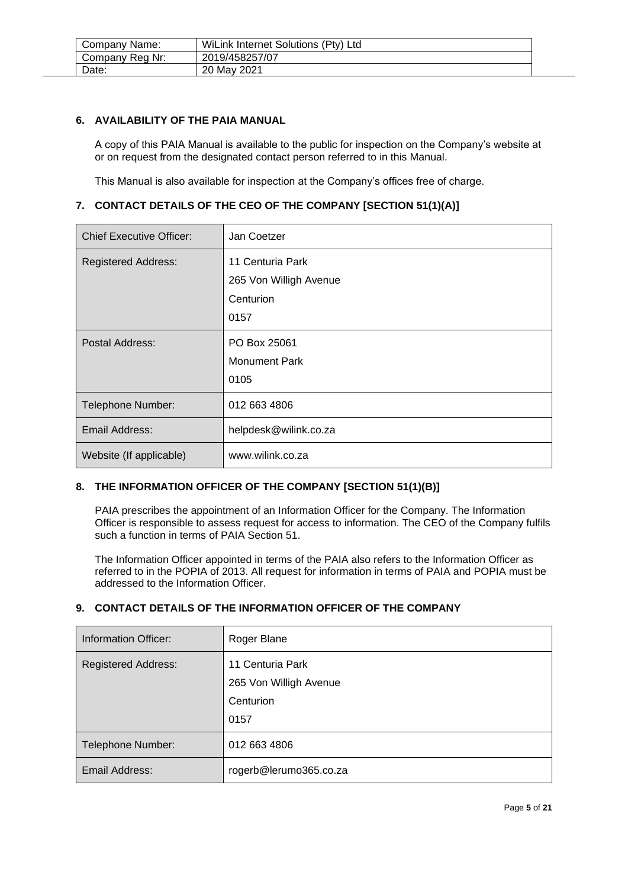| Company Name:   | WiLink Internet Solutions (Pty) Ltd |
|-----------------|-------------------------------------|
| Company Reg Nr: | 2019/458257/07                      |
| Date:           | 20 May 2021                         |

#### <span id="page-4-0"></span>**6. AVAILABILITY OF THE PAIA MANUAL**

A copy of this PAIA Manual is available to the public for inspection on the Company's website at or on request from the designated contact person referred to in this Manual.

This Manual is also available for inspection at the Company's offices free of charge.

## <span id="page-4-1"></span>**7. CONTACT DETAILS OF THE CEO OF THE COMPANY [SECTION 51(1)(A)]**

| <b>Chief Executive Officer:</b> | Jan Coetzer            |
|---------------------------------|------------------------|
| <b>Registered Address:</b>      | 11 Centuria Park       |
|                                 | 265 Von Willigh Avenue |
|                                 | Centurion              |
|                                 | 0157                   |
| Postal Address:                 | PO Box 25061           |
|                                 | <b>Monument Park</b>   |
|                                 | 0105                   |
| Telephone Number:               | 012 663 4806           |
| Email Address:                  | helpdesk@wilink.co.za  |
| Website (If applicable)         | www.wilink.co.za       |

# <span id="page-4-2"></span>**8. THE INFORMATION OFFICER OF THE COMPANY [SECTION 51(1)(B)]**

PAIA prescribes the appointment of an Information Officer for the Company. The Information Officer is responsible to assess request for access to information. The CEO of the Company fulfils such a function in terms of PAIA Section 51.

The Information Officer appointed in terms of the PAIA also refers to the Information Officer as referred to in the POPIA of 2013. All request for information in terms of PAIA and POPIA must be addressed to the Information Officer.

## <span id="page-4-3"></span>**9. CONTACT DETAILS OF THE INFORMATION OFFICER OF THE COMPANY**

| Information Officer:       | Roger Blane                                                     |
|----------------------------|-----------------------------------------------------------------|
| <b>Registered Address:</b> | 11 Centuria Park<br>265 Von Willigh Avenue<br>Centurion<br>0157 |
| Telephone Number:          | 012 663 4806                                                    |
| Email Address:             | rogerb@lerumo365.co.za                                          |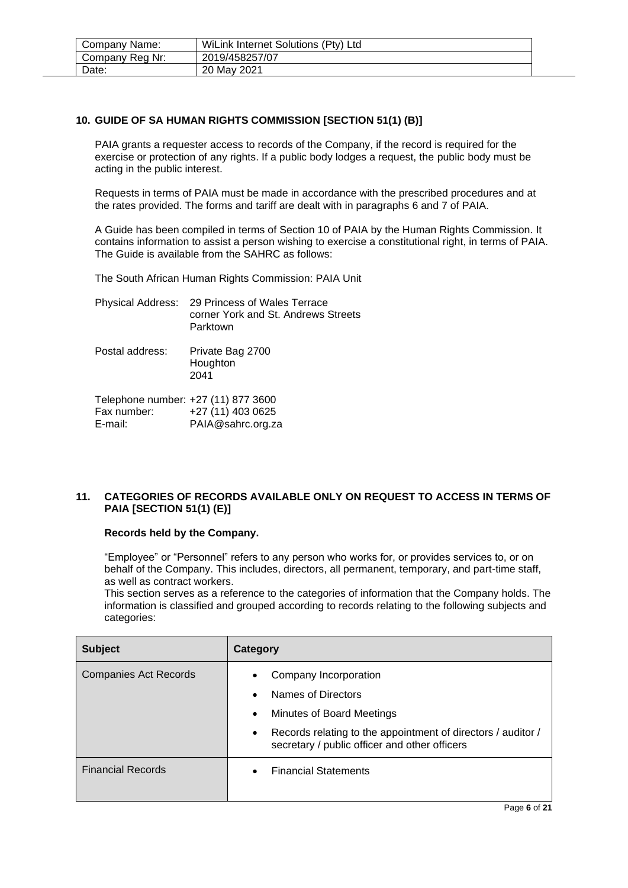| Company Name:   | WiLink Internet Solutions (Pty) Ltd |  |
|-----------------|-------------------------------------|--|
| Company Reg Nr: | 2019/458257/07                      |  |
| Date:           | 20 May 2021                         |  |

# <span id="page-5-0"></span>**10. GUIDE OF SA HUMAN RIGHTS COMMISSION [SECTION 51(1) (B)]**

PAIA grants a requester access to records of the Company, if the record is required for the exercise or protection of any rights. If a public body lodges a request, the public body must be acting in the public interest.

Requests in terms of PAIA must be made in accordance with the prescribed procedures and at the rates provided. The forms and tariff are dealt with in paragraphs 6 and 7 of PAIA.

A Guide has been compiled in terms of Section 10 of PAIA by the Human Rights Commission. It contains information to assist a person wishing to exercise a constitutional right, in terms of PAIA. The Guide is available from the SAHRC as follows:

The South African Human Rights Commission: PAIA Unit

| Physical Address: 29 Princess of Wales Terrace |
|------------------------------------------------|
| corner York and St. Andrews Streets            |
| Parktown                                       |

Postal address: Private Bag 2700 Houghton 2041

| Telephone number: +27 (11) 877 3600 |                   |
|-------------------------------------|-------------------|
| Fax number:                         | +27 (11) 403 0625 |
| E-mail:                             | PAIA@sahrc.org.za |

## <span id="page-5-1"></span>**11. CATEGORIES OF RECORDS AVAILABLE ONLY ON REQUEST TO ACCESS IN TERMS OF PAIA [SECTION 51(1) (E)]**

#### **Records held by the Company.**

"Employee" or "Personnel" refers to any person who works for, or provides services to, or on behalf of the Company. This includes, directors, all permanent, temporary, and part-time staff, as well as contract workers.

This section serves as a reference to the categories of information that the Company holds. The information is classified and grouped according to records relating to the following subjects and categories:

| <b>Subject</b>               | Category                                                                                                                                                                                                                         |
|------------------------------|----------------------------------------------------------------------------------------------------------------------------------------------------------------------------------------------------------------------------------|
| <b>Companies Act Records</b> | Company Incorporation<br>Names of Directors<br>$\bullet$<br>Minutes of Board Meetings<br>$\bullet$<br>Records relating to the appointment of directors / auditor /<br>$\bullet$<br>secretary / public officer and other officers |
| <b>Financial Records</b>     | <b>Financial Statements</b>                                                                                                                                                                                                      |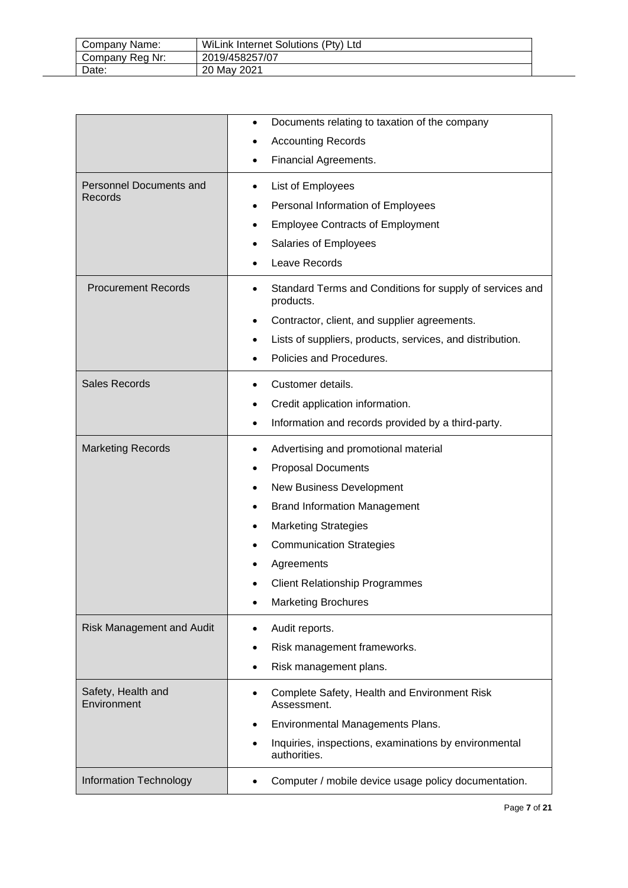| Company Name:   | WiLink Internet Solutions (Pty) Ltd |
|-----------------|-------------------------------------|
| Company Reg Nr: | 2019/458257/07                      |
| Date:           | 20 May 2021                         |

|                                    | Documents relating to taxation of the company<br><b>Accounting Records</b>                                                                                                                                                                                                                                      |
|------------------------------------|-----------------------------------------------------------------------------------------------------------------------------------------------------------------------------------------------------------------------------------------------------------------------------------------------------------------|
|                                    | Financial Agreements.                                                                                                                                                                                                                                                                                           |
| Personnel Documents and<br>Records | List of Employees<br>٠<br>Personal Information of Employees<br>٠<br><b>Employee Contracts of Employment</b><br>Salaries of Employees<br>Leave Records                                                                                                                                                           |
| <b>Procurement Records</b>         | Standard Terms and Conditions for supply of services and<br>٠<br>products.<br>Contractor, client, and supplier agreements.<br>٠<br>Lists of suppliers, products, services, and distribution.<br>٠<br>Policies and Procedures.                                                                                   |
| <b>Sales Records</b>               | Customer details.<br>٠<br>Credit application information.<br>٠<br>Information and records provided by a third-party.<br>٠                                                                                                                                                                                       |
| <b>Marketing Records</b>           | Advertising and promotional material<br>٠<br><b>Proposal Documents</b><br>٠<br>New Business Development<br><b>Brand Information Management</b><br>٠<br><b>Marketing Strategies</b><br>٠<br><b>Communication Strategies</b><br>Agreements<br><b>Client Relationship Programmes</b><br><b>Marketing Brochures</b> |
| <b>Risk Management and Audit</b>   | Audit reports.<br>Risk management frameworks.<br>Risk management plans.                                                                                                                                                                                                                                         |
| Safety, Health and<br>Environment  | Complete Safety, Health and Environment Risk<br>٠<br>Assessment.<br>Environmental Managements Plans.<br>Inquiries, inspections, examinations by environmental<br>authorities.                                                                                                                                   |
| Information Technology             | Computer / mobile device usage policy documentation.                                                                                                                                                                                                                                                            |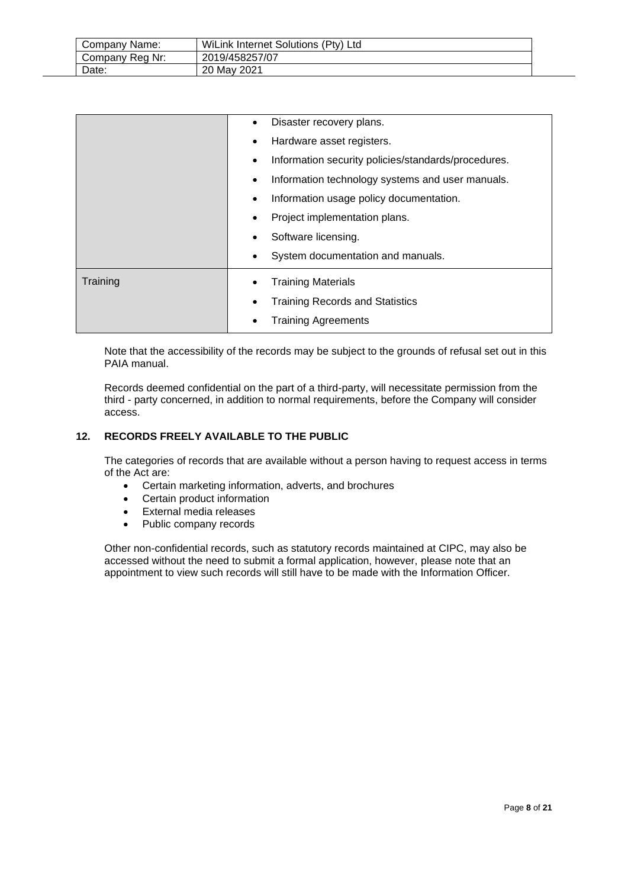| Company Name:   | WiLink Internet Solutions (Pty) Ltd |
|-----------------|-------------------------------------|
| Company Reg Nr: | 2019/458257/07                      |
| Date:           | 20 May 2021                         |

|          | Disaster recovery plans.                                 |
|----------|----------------------------------------------------------|
|          | Hardware asset registers.                                |
|          | Information security policies/standards/procedures.<br>٠ |
|          | Information technology systems and user manuals.         |
|          | Information usage policy documentation.<br>٠             |
|          | Project implementation plans.                            |
|          | Software licensing.                                      |
|          | System documentation and manuals.                        |
| Training | <b>Training Materials</b>                                |
|          | <b>Training Records and Statistics</b>                   |
|          |                                                          |
|          | <b>Training Agreements</b>                               |

Note that the accessibility of the records may be subject to the grounds of refusal set out in this PAIA manual.

Records deemed confidential on the part of a third-party, will necessitate permission from the third - party concerned, in addition to normal requirements, before the Company will consider access.

## <span id="page-7-0"></span>**12. RECORDS FREELY AVAILABLE TO THE PUBLIC**

The categories of records that are available without a person having to request access in terms of the Act are:

- Certain marketing information, adverts, and brochures
- Certain product information
- External media releases
- Public company records

Other non-confidential records, such as statutory records maintained at CIPC, may also be accessed without the need to submit a formal application, however, please note that an appointment to view such records will still have to be made with the Information Officer.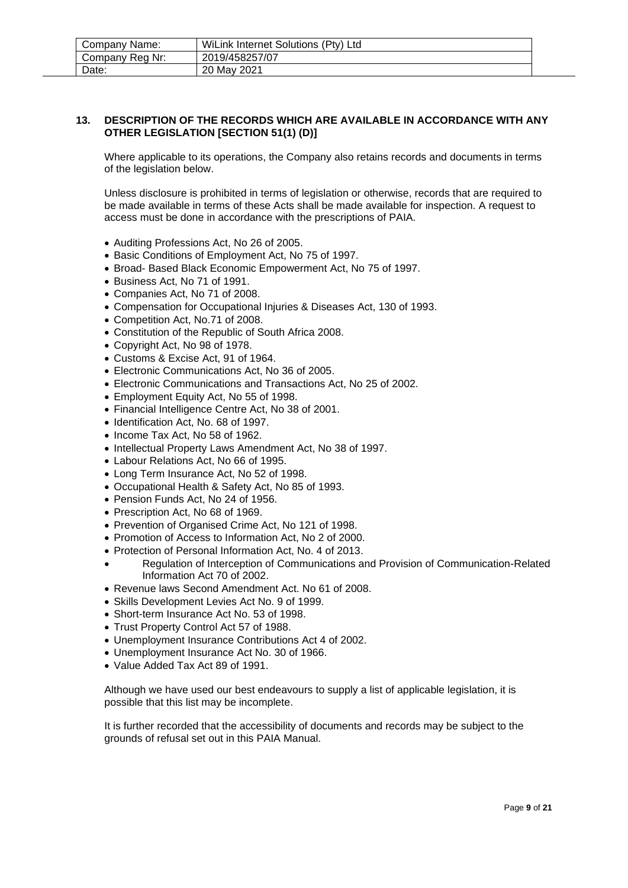| Company Name:   | WiLink Internet Solutions (Pty) Ltd |
|-----------------|-------------------------------------|
| Company Reg Nr: | 2019/458257/07                      |
| Date:           | 20 May 2021                         |

#### <span id="page-8-0"></span>**13. DESCRIPTION OF THE RECORDS WHICH ARE AVAILABLE IN ACCORDANCE WITH ANY OTHER LEGISLATION [SECTION 51(1) (D)]**

Where applicable to its operations, the Company also retains records and documents in terms of the legislation below.

Unless disclosure is prohibited in terms of legislation or otherwise, records that are required to be made available in terms of these Acts shall be made available for inspection. A request to access must be done in accordance with the prescriptions of PAIA.

- Auditing Professions Act, No 26 of 2005.
- Basic Conditions of Employment Act, No 75 of 1997.
- Broad- Based Black Economic Empowerment Act, No 75 of 1997.
- Business Act, No 71 of 1991.
- Companies Act, No 71 of 2008.
- Compensation for Occupational Injuries & Diseases Act, 130 of 1993.
- Competition Act, No.71 of 2008.
- Constitution of the Republic of South Africa 2008.
- Copyright Act, No 98 of 1978.
- Customs & Excise Act, 91 of 1964.
- Electronic Communications Act, No 36 of 2005.
- Electronic Communications and Transactions Act, No 25 of 2002.
- Employment Equity Act, No 55 of 1998.
- Financial Intelligence Centre Act, No 38 of 2001.
- Identification Act, No. 68 of 1997.
- Income Tax Act, No 58 of 1962.
- Intellectual Property Laws Amendment Act, No 38 of 1997.
- Labour Relations Act, No 66 of 1995.
- Long Term Insurance Act, No 52 of 1998.
- Occupational Health & Safety Act, No 85 of 1993.
- Pension Funds Act, No 24 of 1956.
- Prescription Act, No 68 of 1969.
- Prevention of Organised Crime Act, No 121 of 1998.
- Promotion of Access to Information Act, No 2 of 2000.
- Protection of Personal Information Act, No. 4 of 2013.
- Regulation of Interception of Communications and Provision of Communication-Related Information Act 70 of 2002.
- Revenue laws Second Amendment Act. No 61 of 2008.
- Skills Development Levies Act No. 9 of 1999.
- Short-term Insurance Act No. 53 of 1998.
- Trust Property Control Act 57 of 1988.
- Unemployment Insurance Contributions Act 4 of 2002.
- Unemployment Insurance Act No. 30 of 1966.
- Value Added Tax Act 89 of 1991.

Although we have used our best endeavours to supply a list of applicable legislation, it is possible that this list may be incomplete.

It is further recorded that the accessibility of documents and records may be subject to the grounds of refusal set out in this PAIA Manual.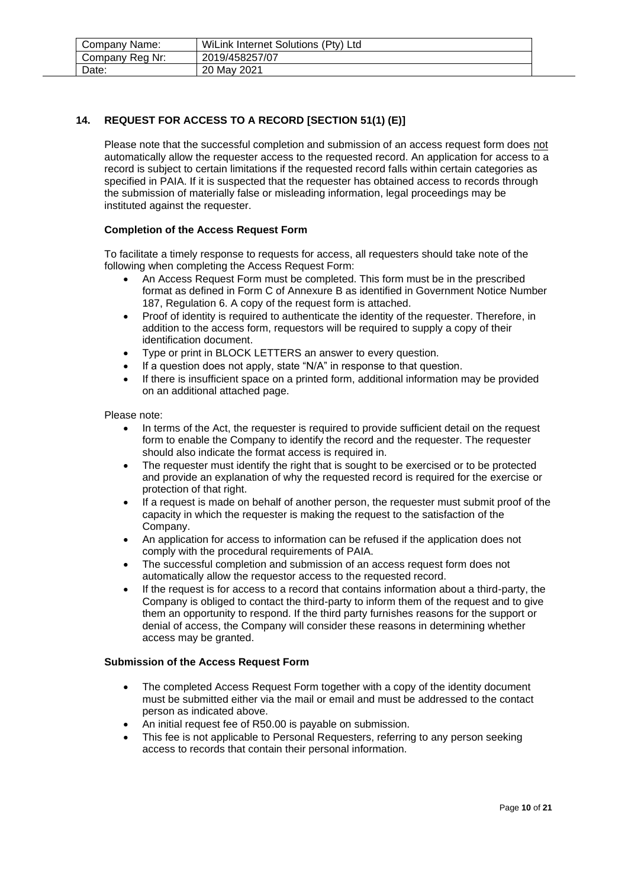| Company Name:   | WiLink Internet Solutions (Pty) Ltd |
|-----------------|-------------------------------------|
| Company Reg Nr: | 2019/458257/07                      |
| Date:           | 20 May 2021                         |

# <span id="page-9-0"></span>**14. REQUEST FOR ACCESS TO A RECORD [SECTION 51(1) (E)]**

Please note that the successful completion and submission of an access request form does not automatically allow the requester access to the requested record. An application for access to a record is subject to certain limitations if the requested record falls within certain categories as specified in PAIA. If it is suspected that the requester has obtained access to records through the submission of materially false or misleading information, legal proceedings may be instituted against the requester.

#### **Completion of the Access Request Form**

To facilitate a timely response to requests for access, all requesters should take note of the following when completing the Access Request Form:

- An Access Request Form must be completed. This form must be in the prescribed format as defined in Form C of Annexure B as identified in Government Notice Number 187, Regulation 6. A copy of the request form is attached.
- Proof of identity is required to authenticate the identity of the requester. Therefore, in addition to the access form, requestors will be required to supply a copy of their identification document.
- Type or print in BLOCK LETTERS an answer to every question.
- If a question does not apply, state "N/A" in response to that question.
- If there is insufficient space on a printed form, additional information may be provided on an additional attached page.

Please note:

- In terms of the Act, the requester is required to provide sufficient detail on the request form to enable the Company to identify the record and the requester. The requester should also indicate the format access is required in.
- The requester must identify the right that is sought to be exercised or to be protected and provide an explanation of why the requested record is required for the exercise or protection of that right.
- If a request is made on behalf of another person, the requester must submit proof of the capacity in which the requester is making the request to the satisfaction of the Company.
- An application for access to information can be refused if the application does not comply with the procedural requirements of PAIA.
- The successful completion and submission of an access request form does not automatically allow the requestor access to the requested record.
- If the request is for access to a record that contains information about a third-party, the Company is obliged to contact the third-party to inform them of the request and to give them an opportunity to respond. If the third party furnishes reasons for the support or denial of access, the Company will consider these reasons in determining whether access may be granted.

#### **Submission of the Access Request Form**

- The completed Access Request Form together with a copy of the identity document must be submitted either via the mail or email and must be addressed to the contact person as indicated above.
- An initial request fee of R50.00 is payable on submission.
- This fee is not applicable to Personal Requesters, referring to any person seeking access to records that contain their personal information.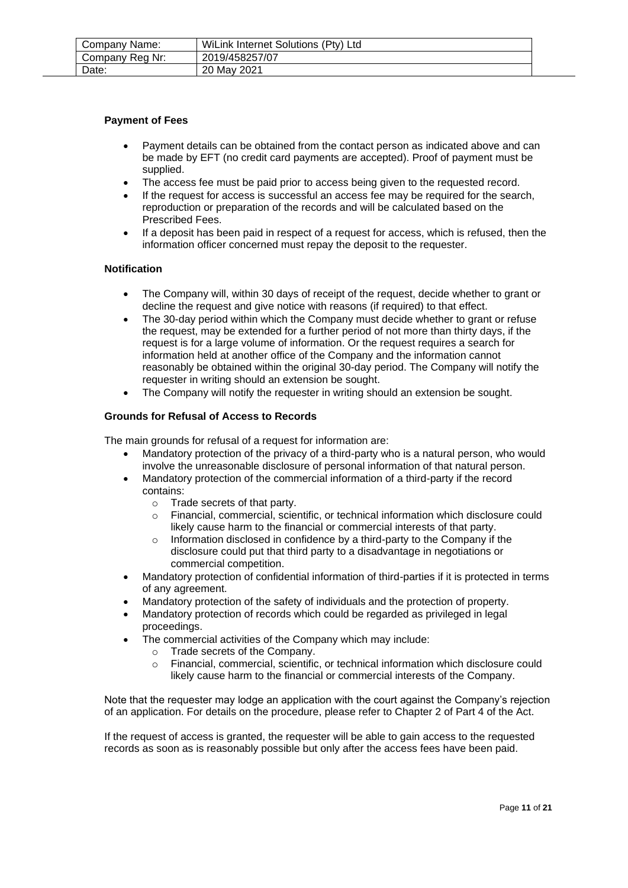| Company Name:   | WiLink Internet Solutions (Pty) Ltd |
|-----------------|-------------------------------------|
| Company Reg Nr: | 2019/458257/07                      |
| Date:           | 20 May 2021                         |

#### **Payment of Fees**

- Payment details can be obtained from the contact person as indicated above and can be made by EFT (no credit card payments are accepted). Proof of payment must be supplied.
- The access fee must be paid prior to access being given to the requested record.
- If the request for access is successful an access fee may be required for the search. reproduction or preparation of the records and will be calculated based on the Prescribed Fees.
- If a deposit has been paid in respect of a request for access, which is refused, then the information officer concerned must repay the deposit to the requester.

#### **Notification**

- The Company will, within 30 days of receipt of the request, decide whether to grant or decline the request and give notice with reasons (if required) to that effect.
- The 30-day period within which the Company must decide whether to grant or refuse the request, may be extended for a further period of not more than thirty days, if the request is for a large volume of information. Or the request requires a search for information held at another office of the Company and the information cannot reasonably be obtained within the original 30-day period. The Company will notify the requester in writing should an extension be sought.
- The Company will notify the requester in writing should an extension be sought.

#### **Grounds for Refusal of Access to Records**

The main grounds for refusal of a request for information are:

- Mandatory protection of the privacy of a third-party who is a natural person, who would involve the unreasonable disclosure of personal information of that natural person.
- Mandatory protection of the commercial information of a third-party if the record contains:
	- o Trade secrets of that party.
	- o Financial, commercial, scientific, or technical information which disclosure could likely cause harm to the financial or commercial interests of that party.
	- o Information disclosed in confidence by a third-party to the Company if the disclosure could put that third party to a disadvantage in negotiations or commercial competition.
- Mandatory protection of confidential information of third-parties if it is protected in terms of any agreement.
- Mandatory protection of the safety of individuals and the protection of property.
- Mandatory protection of records which could be regarded as privileged in legal proceedings.
- The commercial activities of the Company which may include:
	- o Trade secrets of the Company.
	- o Financial, commercial, scientific, or technical information which disclosure could likely cause harm to the financial or commercial interests of the Company.

Note that the requester may lodge an application with the court against the Company's rejection of an application. For details on the procedure, please refer to Chapter 2 of Part 4 of the Act.

If the request of access is granted, the requester will be able to gain access to the requested records as soon as is reasonably possible but only after the access fees have been paid.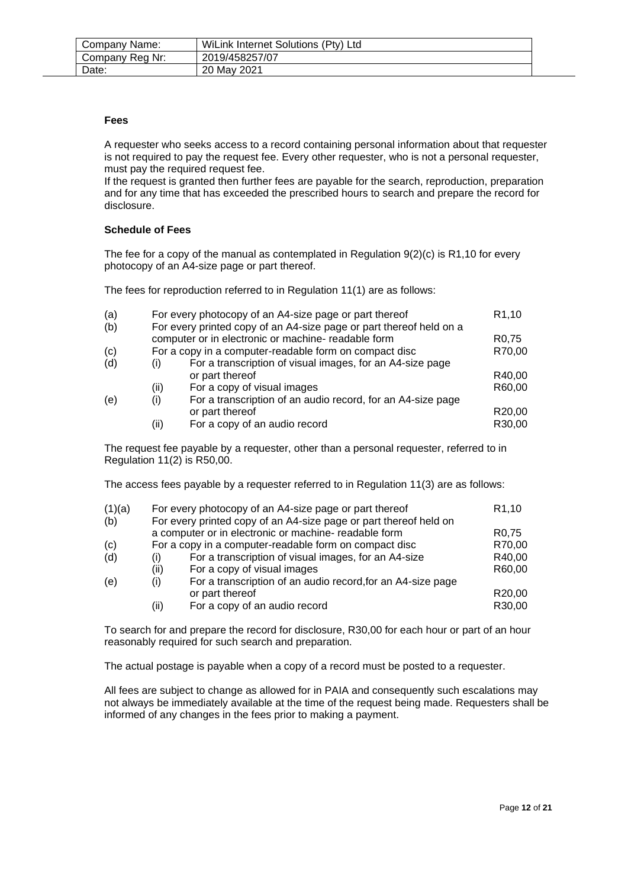| Company Name:   | WiLink Internet Solutions (Pty) Ltd |
|-----------------|-------------------------------------|
| Company Reg Nr: | 2019/458257/07                      |
| Date:           | 20 May 2021                         |

#### **Fees**

A requester who seeks access to a record containing personal information about that requester is not required to pay the request fee. Every other requester, who is not a personal requester, must pay the required request fee.

If the request is granted then further fees are payable for the search, reproduction, preparation and for any time that has exceeded the prescribed hours to search and prepare the record for disclosure.

#### **Schedule of Fees**

The fee for a copy of the manual as contemplated in Regulation  $9(2)(c)$  is R1,10 for every photocopy of an A4-size page or part thereof.

The fees for reproduction referred to in Regulation 11(1) are as follows:

|              |                                                             | R <sub>1</sub> ,10                                                                                                                                                                                                                             |
|--------------|-------------------------------------------------------------|------------------------------------------------------------------------------------------------------------------------------------------------------------------------------------------------------------------------------------------------|
|              |                                                             |                                                                                                                                                                                                                                                |
|              |                                                             | R <sub>0.75</sub>                                                                                                                                                                                                                              |
|              |                                                             | R70,00                                                                                                                                                                                                                                         |
| $\mathbf{I}$ | For a transcription of visual images, for an A4-size page   |                                                                                                                                                                                                                                                |
|              | or part thereof                                             | R40,00                                                                                                                                                                                                                                         |
| (ii)         | For a copy of visual images                                 | R60,00                                                                                                                                                                                                                                         |
| (i)          | For a transcription of an audio record, for an A4-size page |                                                                                                                                                                                                                                                |
|              | or part thereof                                             | R20,00                                                                                                                                                                                                                                         |
| (ii)         | For a copy of an audio record                               | R30,00                                                                                                                                                                                                                                         |
|              |                                                             | For every photocopy of an A4-size page or part thereof<br>For every printed copy of an A4-size page or part thereof held on a<br>computer or in electronic or machine- readable form<br>For a copy in a computer-readable form on compact disc |

The request fee payable by a requester, other than a personal requester, referred to in Regulation 11(2) is R50,00.

The access fees payable by a requester referred to in Regulation 11(3) are as follows:

|              |                                                             | R <sub>1</sub> ,10                                                                                                                                                                                                                             |
|--------------|-------------------------------------------------------------|------------------------------------------------------------------------------------------------------------------------------------------------------------------------------------------------------------------------------------------------|
|              |                                                             |                                                                                                                                                                                                                                                |
|              |                                                             | R <sub>0</sub> ,75                                                                                                                                                                                                                             |
|              |                                                             | R70,00                                                                                                                                                                                                                                         |
| $\mathbf{I}$ | For a transcription of visual images, for an A4-size        | R40,00                                                                                                                                                                                                                                         |
| (ii)         | For a copy of visual images                                 | R60,00                                                                                                                                                                                                                                         |
| (i)          | For a transcription of an audio record, for an A4-size page |                                                                                                                                                                                                                                                |
|              | or part thereof                                             | R <sub>20</sub> ,00                                                                                                                                                                                                                            |
| (ii)         | For a copy of an audio record                               | R30,00                                                                                                                                                                                                                                         |
|              |                                                             | For every photocopy of an A4-size page or part thereof<br>For every printed copy of an A4-size page or part thereof held on<br>a computer or in electronic or machine- readable form<br>For a copy in a computer-readable form on compact disc |

To search for and prepare the record for disclosure, R30,00 for each hour or part of an hour reasonably required for such search and preparation.

The actual postage is payable when a copy of a record must be posted to a requester.

All fees are subject to change as allowed for in PAIA and consequently such escalations may not always be immediately available at the time of the request being made. Requesters shall be informed of any changes in the fees prior to making a payment.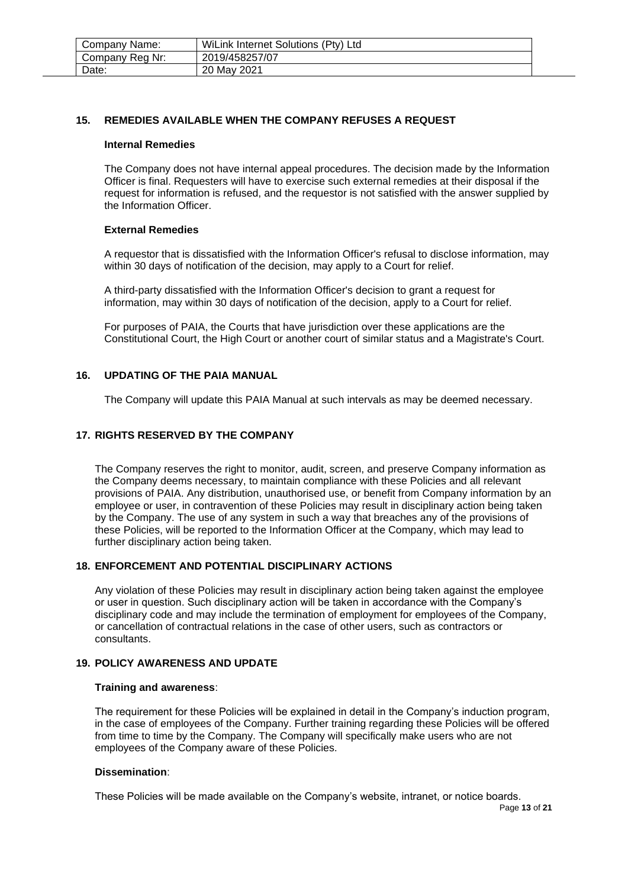| Company Name:   | WiLink Internet Solutions (Pty) Ltd |
|-----------------|-------------------------------------|
| Company Reg Nr: | 2019/458257/07                      |
| Date:           | 20 May 2021                         |

#### <span id="page-12-0"></span>**15. REMEDIES AVAILABLE WHEN THE COMPANY REFUSES A REQUEST**

#### **Internal Remedies**

The Company does not have internal appeal procedures. The decision made by the Information Officer is final. Requesters will have to exercise such external remedies at their disposal if the request for information is refused, and the requestor is not satisfied with the answer supplied by the Information Officer.

#### **External Remedies**

A requestor that is dissatisfied with the Information Officer's refusal to disclose information, may within 30 days of notification of the decision, may apply to a Court for relief.

A third-party dissatisfied with the Information Officer's decision to grant a request for information, may within 30 days of notification of the decision, apply to a Court for relief.

For purposes of PAIA, the Courts that have jurisdiction over these applications are the Constitutional Court, the High Court or another court of similar status and a Magistrate's Court.

#### <span id="page-12-1"></span>**16. UPDATING OF THE PAIA MANUAL**

The Company will update this PAIA Manual at such intervals as may be deemed necessary.

#### <span id="page-12-2"></span>**17. RIGHTS RESERVED BY THE COMPANY**

The Company reserves the right to monitor, audit, screen, and preserve Company information as the Company deems necessary, to maintain compliance with these Policies and all relevant provisions of PAIA. Any distribution, unauthorised use, or benefit from Company information by an employee or user, in contravention of these Policies may result in disciplinary action being taken by the Company. The use of any system in such a way that breaches any of the provisions of these Policies, will be reported to the Information Officer at the Company, which may lead to further disciplinary action being taken.

#### <span id="page-12-3"></span>**18. ENFORCEMENT AND POTENTIAL DISCIPLINARY ACTIONS**

Any violation of these Policies may result in disciplinary action being taken against the employee or user in question. Such disciplinary action will be taken in accordance with the Company's disciplinary code and may include the termination of employment for employees of the Company, or cancellation of contractual relations in the case of other users, such as contractors or consultants.

# <span id="page-12-4"></span>**19. POLICY AWARENESS AND UPDATE**

#### **Training and awareness**:

The requirement for these Policies will be explained in detail in the Company's induction program, in the case of employees of the Company. Further training regarding these Policies will be offered from time to time by the Company. The Company will specifically make users who are not employees of the Company aware of these Policies.

#### **Dissemination**:

These Policies will be made available on the Company's website, intranet, or notice boards.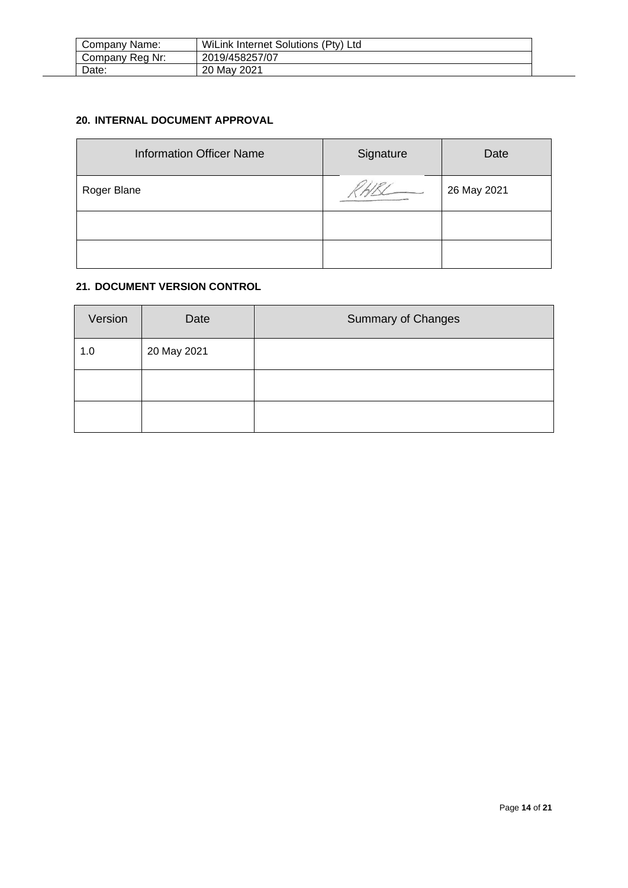| Company Name: |                 | WiLink Internet Solutions (Pty) Ltd |
|---------------|-----------------|-------------------------------------|
|               | Company Reg Nr: | 2019/458257/07                      |
|               | Date:           | 20 May 2021                         |

# <span id="page-13-0"></span>**20. INTERNAL DOCUMENT APPROVAL**

| <b>Information Officer Name</b> | Signature | Date        |
|---------------------------------|-----------|-------------|
| Roger Blane                     |           | 26 May 2021 |
|                                 |           |             |
|                                 |           |             |

# <span id="page-13-1"></span>**21. DOCUMENT VERSION CONTROL**

| Version | Date        | <b>Summary of Changes</b> |
|---------|-------------|---------------------------|
| 1.0     | 20 May 2021 |                           |
|         |             |                           |
|         |             |                           |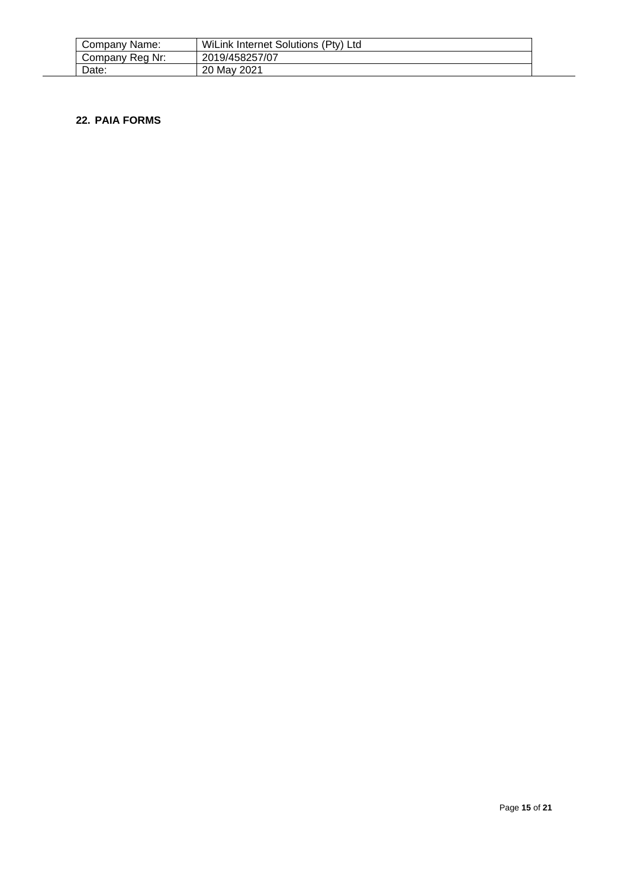| Company Name:   | WiLink Internet Solutions (Pty) Ltd |
|-----------------|-------------------------------------|
| Company Reg Nr: | 2019/458257/07                      |
| Date:           | 20 May 2021                         |

#### <span id="page-14-0"></span>**22. PAIA FORMS**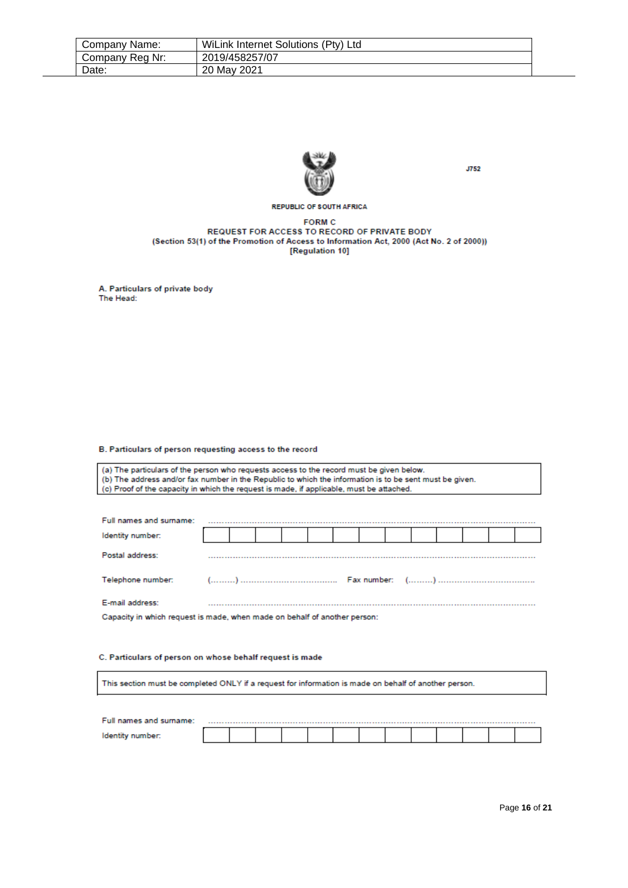| Company Name:   | WiLink Internet Solutions (Pty) Ltd |
|-----------------|-------------------------------------|
| Company Reg Nr: | 2019/458257/07                      |
| Date:           | 20 May 2021                         |



**J752** 

**REPUBLIC OF SOUTH AFRICA** 

#### **FORM C** REQUEST FOR ACCESS TO RECORD OF PRIVATE BODY (Section 53(1) of the Promotion of Access to Information Act, 2000 (Act No. 2 of 2000)) [Regulation 10]

A. Particulars of private body The Head:

#### B. Particulars of person requesting access to the record

(a) The particulars of the person who requests access to the record must be given below. (b) The address and/or fax number in the Republic to which the information is to be sent must be given. (c) Proof of the capacity in which the request is made, if applicable, must be attached.

| Full names and surname:                                                   |  |  |  |  |  |  |  |  |  |  |  |  |
|---------------------------------------------------------------------------|--|--|--|--|--|--|--|--|--|--|--|--|
| Identity number:                                                          |  |  |  |  |  |  |  |  |  |  |  |  |
| Postal address:                                                           |  |  |  |  |  |  |  |  |  |  |  |  |
| Telephone number:                                                         |  |  |  |  |  |  |  |  |  |  |  |  |
| E-mail address:                                                           |  |  |  |  |  |  |  |  |  |  |  |  |
| Capacity in which request is made, when made on behalf of another person: |  |  |  |  |  |  |  |  |  |  |  |  |

#### C. Particulars of person on whose behalf request is made

This section must be completed ONLY if a request for information is made on behalf of another person.

| Full names and surname: |  |  |  |  |  |  |  |
|-------------------------|--|--|--|--|--|--|--|
|                         |  |  |  |  |  |  |  |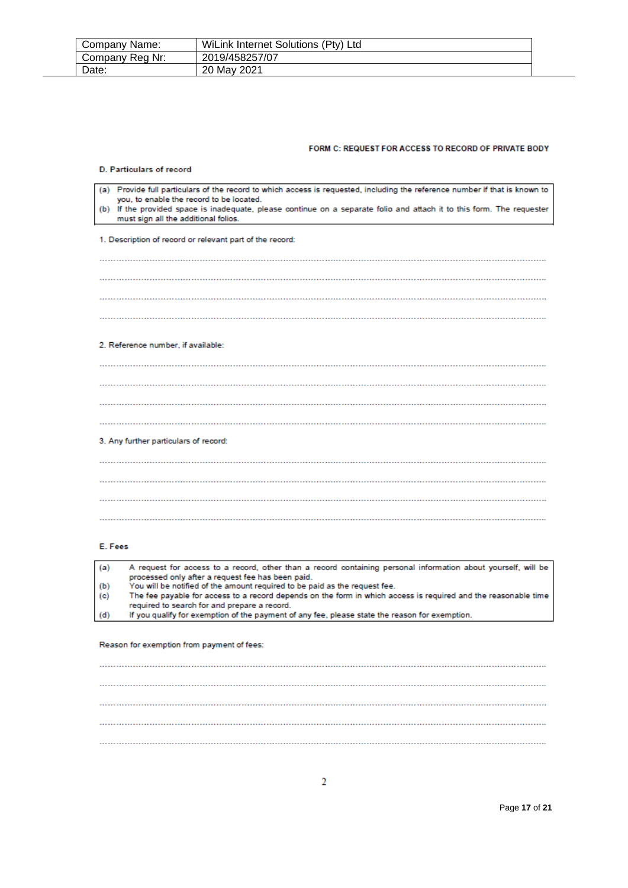| Company Name:   | WiLink Internet Solutions (Pty) Ltd |
|-----------------|-------------------------------------|
| Company Reg Nr: | 2019/458257/07                      |
| Date:           | 20 May 2021                         |

#### FORM C: REQUEST FOR ACCESS TO RECORD OF PRIVATE BODY

| <b>D. Particulars of record</b>                                                                                                                                                                                                                                                                      |
|------------------------------------------------------------------------------------------------------------------------------------------------------------------------------------------------------------------------------------------------------------------------------------------------------|
| Provide full particulars of the record to which access is requested, including the reference number if that is known to<br>(a)<br>you, to enable the record to be located.<br>(b) If the provided space is inadequate, please continue on a separate folio and attach it to this form. The requester |
| must sign all the additional folios.                                                                                                                                                                                                                                                                 |
| 1. Description of record or relevant part of the record:                                                                                                                                                                                                                                             |
|                                                                                                                                                                                                                                                                                                      |
|                                                                                                                                                                                                                                                                                                      |
|                                                                                                                                                                                                                                                                                                      |
|                                                                                                                                                                                                                                                                                                      |
| 2. Reference number, if available:                                                                                                                                                                                                                                                                   |
|                                                                                                                                                                                                                                                                                                      |
|                                                                                                                                                                                                                                                                                                      |
|                                                                                                                                                                                                                                                                                                      |
|                                                                                                                                                                                                                                                                                                      |
| 3. Any further particulars of record:                                                                                                                                                                                                                                                                |
|                                                                                                                                                                                                                                                                                                      |
|                                                                                                                                                                                                                                                                                                      |
|                                                                                                                                                                                                                                                                                                      |
|                                                                                                                                                                                                                                                                                                      |
|                                                                                                                                                                                                                                                                                                      |

#### E. Fees

A request for access to a record, other than a record containing personal information about yourself, will be  $(a)$ processed only after a request fee has been paid.<br>You will be notified of the amount required to be paid as the request fee.  $(b)$ The fee payable for access to a record depends on the form in which access is required and the reasonable time  $(c)$ required to search for and prepare a record.  $(d)$ If you qualify for exemption of the payment of any fee, please state the reason for exemption.

Reason for exemption from payment of fees: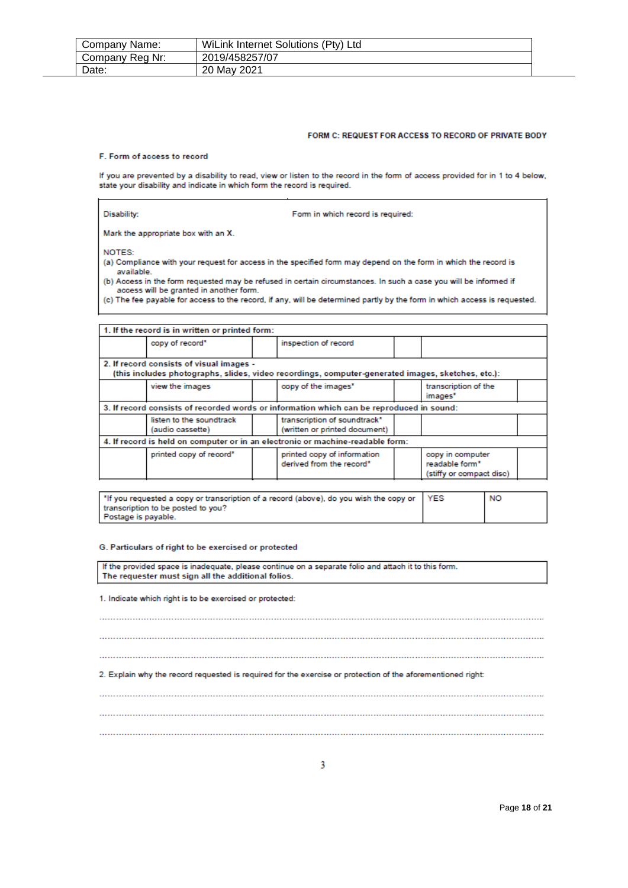| Company Name:   | WiLink Internet Solutions (Pty) Ltd |
|-----------------|-------------------------------------|
| Company Reg Nr: | 2019/458257/07                      |
| Date:           | 20 May 2021                         |

#### FORM C: REQUEST FOR ACCESS TO RECORD OF PRIVATE BODY

#### F. Form of access to record

If you are prevented by a disability to read, view or listen to the record in the form of access provided for in 1 to 4 below, state your disability and indicate in which form the record is required.

| Disability: |  |  |
|-------------|--|--|
|             |  |  |
|             |  |  |

Form in which record is required:

Mark the appropriate box with an X.

NOTES:

(a) Compliance with your request for access in the specified form may depend on the form in which the record is available.

(b) Access in the form requested may be refused in certain circumstances. In such a case you will be informed if access will be granted in another form.

(c) The fee payable for access to the record, if any, will be determined partly by the form in which access is requested.

|                                                                                                                                               | 1. If the record is in written or printed form: |  |                                                                                |                                                                |  |
|-----------------------------------------------------------------------------------------------------------------------------------------------|-------------------------------------------------|--|--------------------------------------------------------------------------------|----------------------------------------------------------------|--|
|                                                                                                                                               | copy of record*                                 |  | inspection of record                                                           |                                                                |  |
| 2. If record consists of visual images -<br>(this includes photographs, slides, video recordings, computer-generated images, sketches, etc.): |                                                 |  |                                                                                |                                                                |  |
|                                                                                                                                               | view the images                                 |  | copy of the images"                                                            | transcription of the<br>images <sup>*</sup>                    |  |
| 3. If record consists of recorded words or information which can be reproduced in sound:                                                      |                                                 |  |                                                                                |                                                                |  |
|                                                                                                                                               | listen to the soundtrack<br>(audio cassette)    |  | transcription of soundtrack*<br>(written or printed document)                  |                                                                |  |
|                                                                                                                                               |                                                 |  | 4. If record is held on computer or in an electronic or machine-readable form: |                                                                |  |
|                                                                                                                                               | printed copy of record"                         |  | printed copy of information<br>derived from the record*                        | copy in computer<br>readable form*<br>(stiffy or compact disc) |  |

| 14 The you requested a copy or transcription of a record (above), do you wish the copy or YES | <b>NO</b> |
|-----------------------------------------------------------------------------------------------|-----------|
| transcription to be posted to you?                                                            |           |
| Postage is payable.                                                                           |           |

#### G. Particulars of right to be exercised or protected

If the provided space is inadequate, please continue on a separate folio and attach it to this form. The requester must sign all the additional folios.

1. Indicate which right is to be exercised or protected:

2. Explain why the record requested is required for the exercise or protection of the aforementioned right: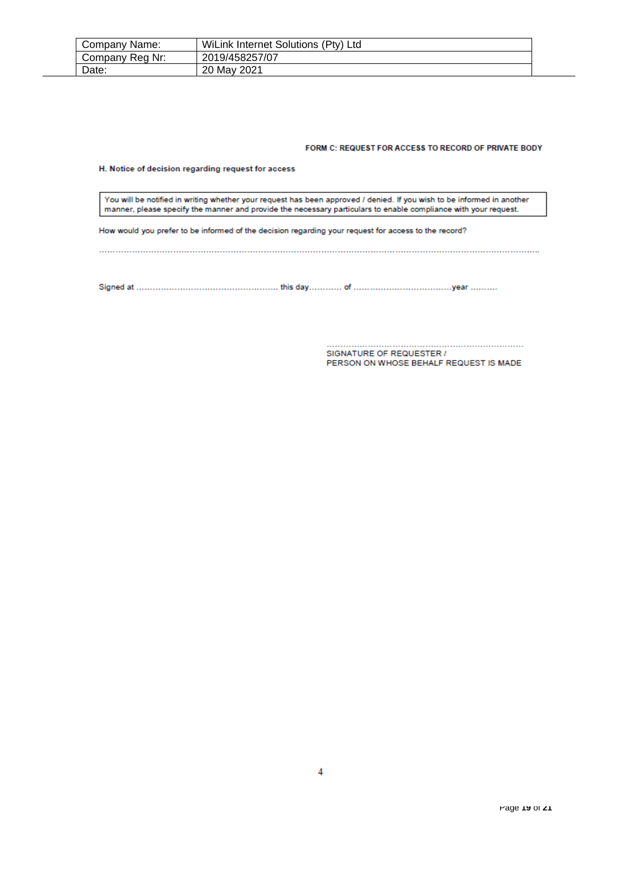| Company Name:   | WiLink Internet Solutions (Pty) Ltd |  |
|-----------------|-------------------------------------|--|
| Company Reg Nr: | 2019/458257/07                      |  |
| Date:           | 20 May 2021                         |  |

#### FORM C: REQUEST FOR ACCESS TO RECORD OF PRIVATE BODY

H. Notice of decision regarding request for access

You will be notified in writing whether your request has been approved / denied. If you wish to be informed in another manner, please specify the manner and provide the necessary particulars to enable compliance with your request.

How would you prefer to be informed of the decision regarding your request for access to the record?

PERSON ON WHOSE BEHALF REQUEST IS MADE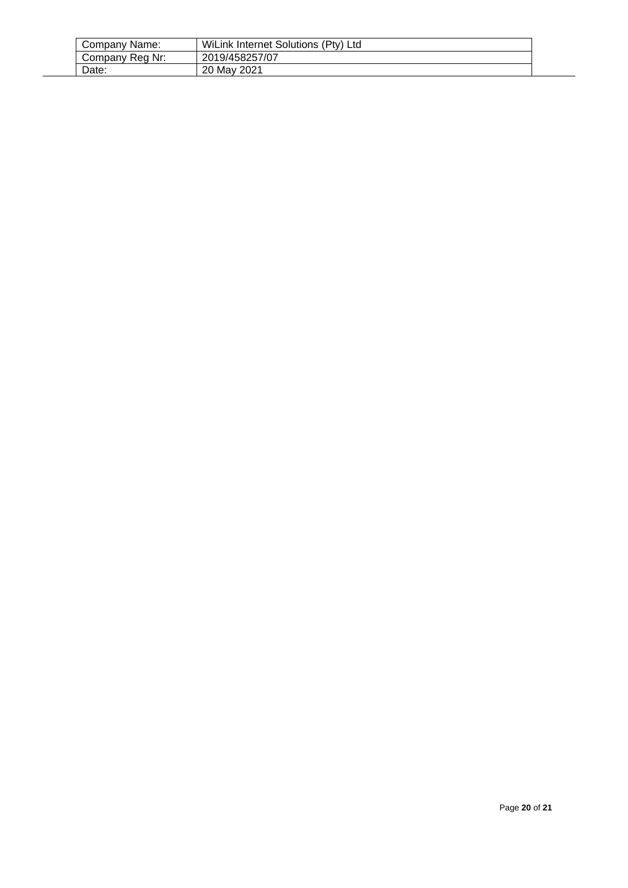| Company Name:   | WiLink Internet Solutions (Pty) Ltd |  |
|-----------------|-------------------------------------|--|
| Company Reg Nr: | 2019/458257/07                      |  |
| Date:           | 20 May 2021                         |  |

 $\overline{a}$ L